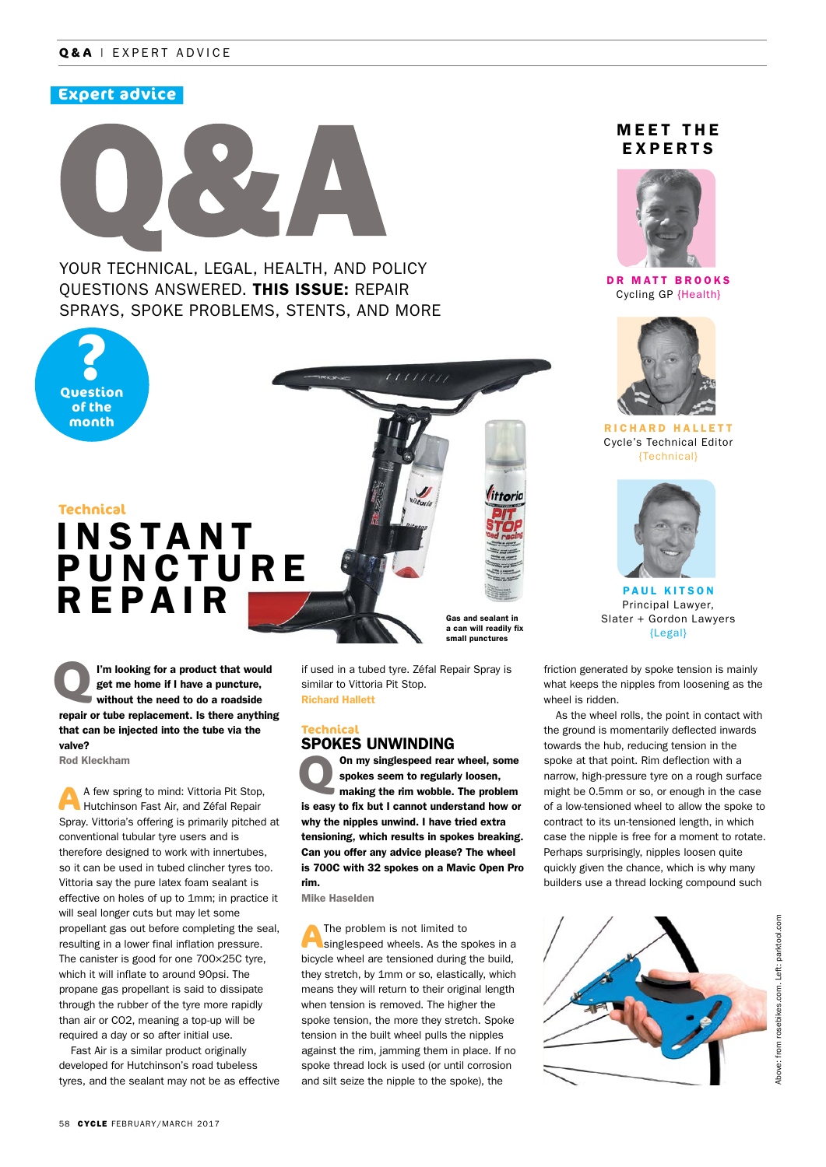## **Q&A** | EXPERT ADVICE

# **Expert advice**



YOUR TECHNICAL, LEGAL, HEALTH, AND POLICY QUESTIONS ANSWERED. THIS ISSUE: REPAIR SPRAYS, SPOKE PROBLEMS, STENTS, AND MORE

**Question ? of the month**

#### **Technical**

# **INSTANT PUNCTURE** REPAIR

I'm looking for a product that would<br>get me home if I have a puncture,<br>without the need to do a roadside get me home if I have a puncture, repair or tube replacement. Is there anything that can be injected into the tube via the valve?

Rod Kleckham

**A** A few spring to mind: Vittoria Pit Stop, Hutchinson Fast Air, and Zéfal Repair Spray. Vittoria's offering is primarily pitched at conventional tubular tyre users and is therefore designed to work with innertubes, so it can be used in tubed clincher tyres too. Vittoria say the pure latex foam sealant is effective on holes of up to 1mm; in practice it will seal longer cuts but may let some propellant gas out before completing the seal, resulting in a lower final inflation pressure. The canister is good for one 700×25C tyre, which it will inflate to around 90psi. The propane gas propellant is said to dissipate through the rubber of the tyre more rapidly than air or CO2, meaning a top-up will be required a day or so after initial use.

Fast Air is a similar product originally developed for Hutchinson's road tubeless tyres, and the sealant may not be as effective a can will readily fix small punctures

Gas and sealant in

if used in a tubed tyre. Zéfal Repair Spray is similar to Vittoria Pit Stop. Richard Hallett

#### **Technical** SPOKES UNWINDING

**100 my singlespeed rear wheel, some spokes seem to regularly loosen, making the rim wobble. The problem** spokes seem to regularly loosen, is easy to fix but I cannot understand how or why the nipples unwind. I have tried extra tensioning, which results in spokes breaking. Can you offer any advice please? The wheel is 700C with 32 spokes on a Mavic Open Pro rim.

Mike Haselden

**A**The problem is not limited to singlespeed wheels. As the spokes in a bicycle wheel are tensioned during the build, they stretch, by 1mm or so, elastically, which means they will return to their original length when tension is removed. The higher the spoke tension, the more they stretch. Spoke tension in the built wheel pulls the nipples against the rim, jamming them in place. If no spoke thread lock is used (or until corrosion and silt seize the nipple to the spoke), the

# **MEET THE** EXPERTS



DR MATT BROOKS Cycling GP {Health}



RICHARD HALLETT Cycle's Technical Editor {Technical}



PAUL KITSON Principal Lawyer, Slater + Gordon Lawyers {Legal}

friction generated by spoke tension is mainly what keeps the nipples from loosening as the wheel is ridden.

As the wheel rolls, the point in contact with the ground is momentarily deflected inwards towards the hub, reducing tension in the spoke at that point. Rim deflection with a narrow, high-pressure tyre on a rough surface might be 0.5mm or so, or enough in the case of a low-tensioned wheel to allow the spoke to contract to its un-tensioned length, in which case the nipple is free for a moment to rotate. Perhaps surprisingly, nipples loosen quite quickly given the chance, which is why many builders use a thread locking compound such

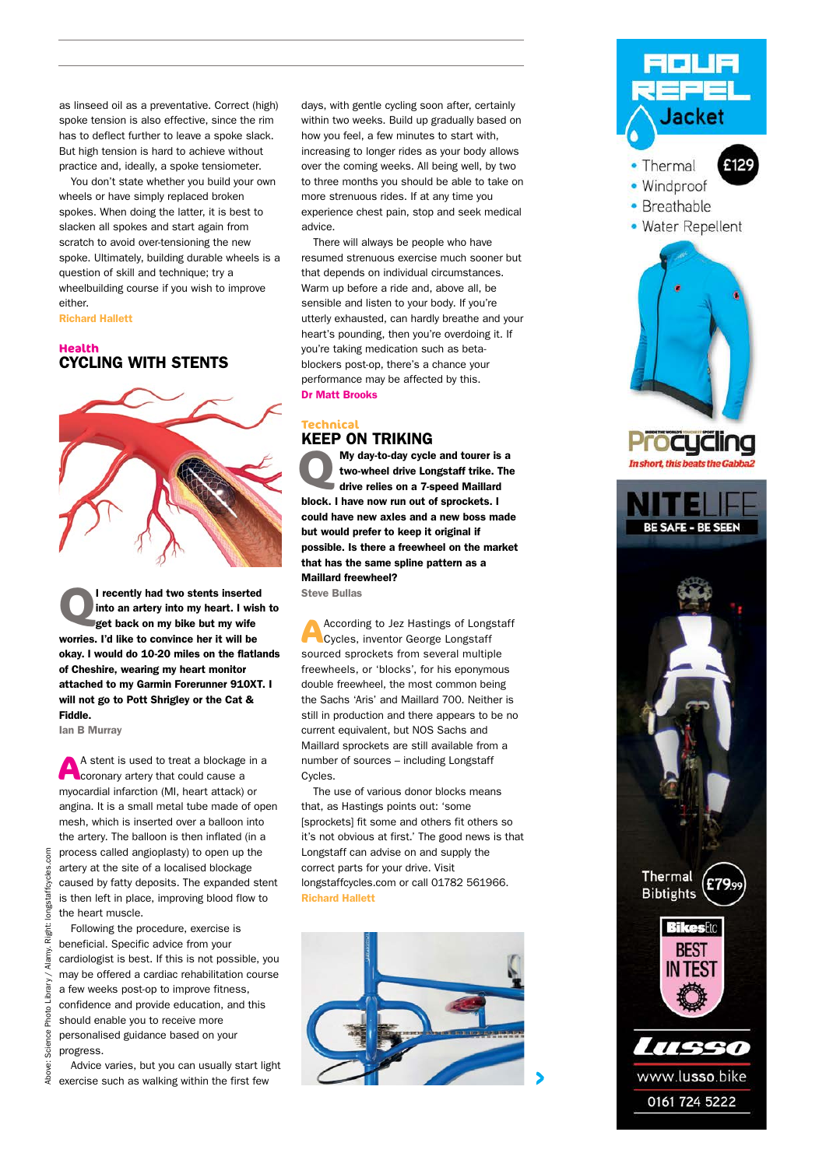as linseed oil as a preventative. Correct (high) spoke tension is also effective, since the rim has to deflect further to leave a spoke slack. But high tension is hard to achieve without practice and, ideally, a spoke tensiometer.

You don't state whether you build your own wheels or have simply replaced broken spokes. When doing the latter, it is best to slacken all spokes and start again from scratch to avoid over-tensioning the new spoke. Ultimately, building durable wheels is a question of skill and technique; try a wheelbuilding course if you wish to improve either.

Richard Hallett

#### **Health** CYCLING WITH STENTS



**QUE THE CONTROVE CONTROVER THE CONTROLLED STATE OF STATE OF STATE STATE OF STATE STATE STATE STATE STATE STATE STATE STATE STATE STATE STATE STATE STATE STATE STATE STATE STATE STATE STATE STATE STATE STATE STATE STATE ST** into an artery into my heart. I wish to worries. I'd like to convince her it will be okay. I would do 10-20 miles on the flatlands of Cheshire, wearing my heart monitor attached to my Garmin Forerunner 910XT. I will not go to Pott Shrigley or the Cat & Fiddle.

Ian B Murray

**A** A stent is used to treat a blockage in a coronary artery that could cause a myocardial infarction (MI, heart attack) or angina. It is a small metal tube made of open mesh, which is inserted over a balloon into the artery. The balloon is then inflated (in a process called angioplasty) to open up the artery at the site of a localised blockage caused by fatty deposits. The expanded stent is then left in place, improving blood flow to the heart muscle.

Following the procedure, exercise is beneficial. Specific advice from your cardiologist is best. If this is not possible, you may be offered a cardiac rehabilitation course a few weeks post-op to improve fitness, confidence and provide education, and this should enable you to receive more personalised guidance based on your progress.

Advice varies, but you can usually start light exercise such as walking within the first few

days, with gentle cycling soon after, certainly within two weeks. Build up gradually based on how you feel, a few minutes to start with, increasing to longer rides as your body allows over the coming weeks. All being well, by two to three months you should be able to take on more strenuous rides. If at any time you experience chest pain, stop and seek medical advice.

There will always be people who have resumed strenuous exercise much sooner but that depends on individual circumstances. Warm up before a ride and, above all, be sensible and listen to your body. If you're utterly exhausted, can hardly breathe and your heart's pounding, then you're overdoing it. If you're taking medication such as betablockers post-op, there's a chance your performance may be affected by this. Dr Matt Brooks

#### **Technical** KEEP ON TRIKING

**My day-to-day cycle and tourer is a two-wheel drive Longstaff trike. The drive relies on a 7-speed Maillard** two-wheel drive Longstaff trike. The drive relies on a 7-speed Maillard block. I have now run out of sprockets. I could have new axles and a new boss made but would prefer to keep it original if possible. Is there a freewheel on the market that has the same spline pattern as a Maillard freewheel?

Steve Bullas

**A**According to Jez Hastings of Longstaff Cycles, inventor George Longstaff sourced sprockets from several multiple freewheels, or 'blocks', for his eponymous double freewheel, the most common being the Sachs 'Aris' and Maillard 700. Neither is still in production and there appears to be no current equivalent, but NOS Sachs and Maillard sprockets are still available from a number of sources – including Longstaff Cycles.

The use of various donor blocks means that, as Hastings points out: 'some [sprockets] fit some and others fit others so it's not obvious at first.' The good news is that Longstaff can advise on and supply the correct parts for your drive. Visit longstaffcycles.com or call 01782 561966. Richard Hallett